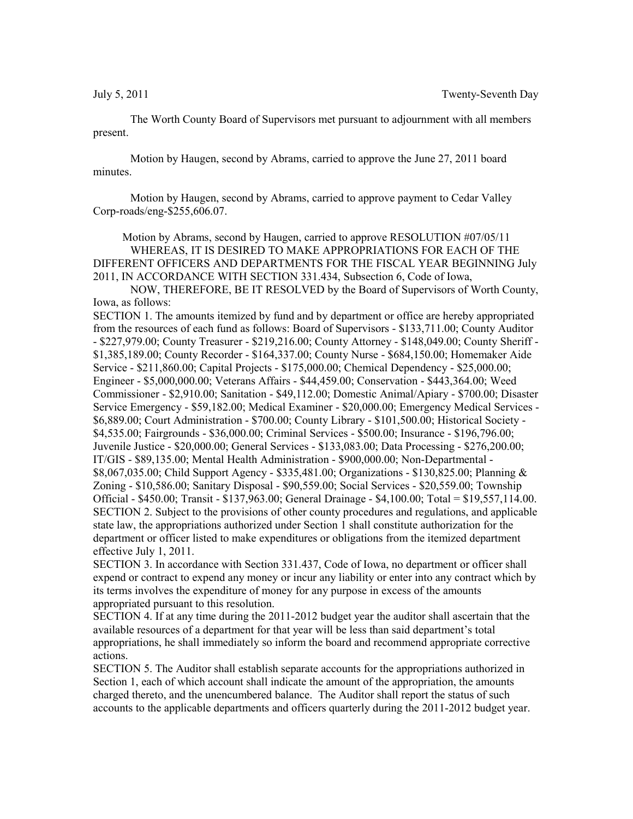The Worth County Board of Supervisors met pursuant to adjournment with all members present.

Motion by Haugen, second by Abrams, carried to approve the June 27, 2011 board minutes.

Motion by Haugen, second by Abrams, carried to approve payment to Cedar Valley Corp-roads/eng-\$255,606.07.

Motion by Abrams, second by Haugen, carried to approve RESOLUTION #07/05/11 WHEREAS, IT IS DESIRED TO MAKE APPROPRIATIONS FOR EACH OF THE DIFFERENT OFFICERS AND DEPARTMENTS FOR THE FISCAL YEAR BEGINNING July 2011, IN ACCORDANCE WITH SECTION 331.434, Subsection 6, Code of Iowa,

NOW, THEREFORE, BE IT RESOLVED by the Board of Supervisors of Worth County, Iowa, as follows:

SECTION 1. The amounts itemized by fund and by department or office are hereby appropriated from the resources of each fund as follows: Board of Supervisors - \$133,711.00; County Auditor - \$227,979.00; County Treasurer - \$219,216.00; County Attorney - \$148,049.00; County Sheriff - \$1,385,189.00; County Recorder - \$164,337.00; County Nurse - \$684,150.00; Homemaker Aide Service - \$211,860.00; Capital Projects - \$175,000.00; Chemical Dependency - \$25,000.00; Engineer - \$5,000,000.00; Veterans Affairs - \$44,459.00; Conservation - \$443,364.00; Weed Commissioner - \$2,910.00; Sanitation - \$49,112.00; Domestic Animal/Apiary - \$700.00; Disaster Service Emergency - \$59,182.00; Medical Examiner - \$20,000.00; Emergency Medical Services - \$6,889.00; Court Administration - \$700.00; County Library - \$101,500.00; Historical Society - \$4,535.00; Fairgrounds - \$36,000.00; Criminal Services - \$500.00; Insurance - \$196,796.00; Juvenile Justice - \$20,000.00; General Services - \$133,083.00; Data Processing - \$276,200.00; IT/GIS - \$89,135.00; Mental Health Administration - \$900,000.00; Non-Departmental - \$8,067,035.00; Child Support Agency - \$335,481.00; Organizations - \$130,825.00; Planning & Zoning - \$10,586.00; Sanitary Disposal - \$90,559.00; Social Services - \$20,559.00; Township Official - \$450.00; Transit - \$137,963.00; General Drainage - \$4,100.00; Total = \$19,557,114.00. SECTION 2. Subject to the provisions of other county procedures and regulations, and applicable state law, the appropriations authorized under Section 1 shall constitute authorization for the department or officer listed to make expenditures or obligations from the itemized department effective July 1, 2011.

SECTION 3. In accordance with Section 331.437, Code of Iowa, no department or officer shall expend or contract to expend any money or incur any liability or enter into any contract which by its terms involves the expenditure of money for any purpose in excess of the amounts appropriated pursuant to this resolution.

SECTION 4. If at any time during the 2011-2012 budget year the auditor shall ascertain that the available resources of a department for that year will be less than said department's total appropriations, he shall immediately so inform the board and recommend appropriate corrective actions.

SECTION 5. The Auditor shall establish separate accounts for the appropriations authorized in Section 1, each of which account shall indicate the amount of the appropriation, the amounts charged thereto, and the unencumbered balance. The Auditor shall report the status of such accounts to the applicable departments and officers quarterly during the 2011-2012 budget year.